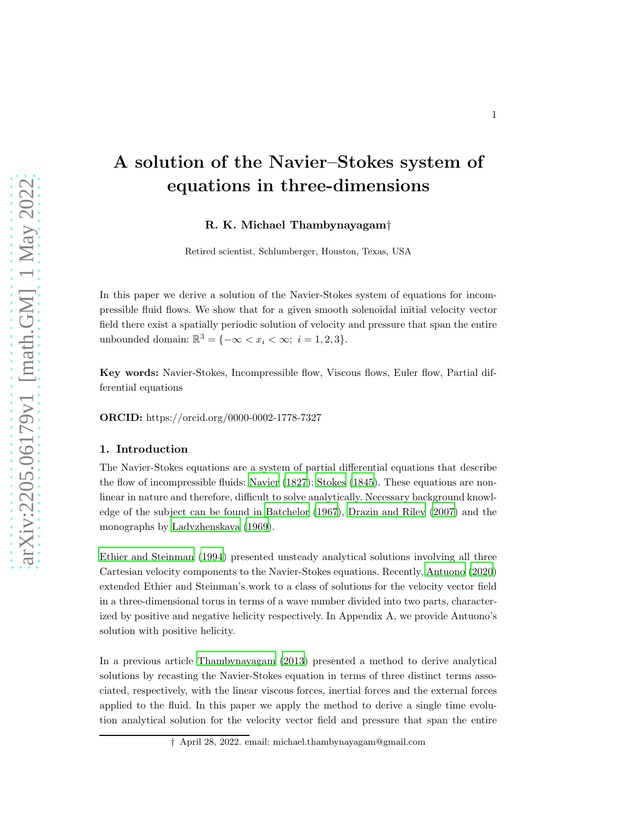# A solution of the Navier–Stokes system of equations in three-dimensions

R. K. Michael Thambynayagam†

Retired scientist, Schlumberger, Houston, Texas, USA

In this paper we derive a solution of the Navier-Stokes system of equations for incompressible fluid flows. We show that for a given smooth solenoidal initial velocity vector field there exist a spatially periodic solution of velocity and pressure that span the entire unbounded domain:  $\mathbb{R}^3 = \{-\infty < x_i < \infty; \ i = 1, 2, 3\}.$ 

Key words: Navier-Stokes, Incompressible flow, Viscous flows, Euler flow, Partial differential equations

ORCID: https://orcid.org/0000-0002-1778-7327

#### 1. Introduction

The Navier-Stokes equations are a system of partial differential equations that describe the flow of incompressible fluids: [Navier \(1827\)](#page-12-0); [Stokes \(1845\)](#page-12-1). These equations are nonlinear in nature and therefore, difficult to solve analytically. Necessary background knowledge of the subject can be found in [Batchelor \(1967](#page-12-2)), [Drazin and Riley \(2007\)](#page-12-3) and the monographs by [Ladyzhenskaya \(1969](#page-12-4)).

[Ethier and Steinman \(1994\)](#page-12-5) presented unsteady analytical solutions involving all three Cartesian velocity components to the Navier-Stokes equations. Recently, [Antuono \(2020\)](#page-12-6) extended Ethier and Steinman's work to a class of solutions for the velocity vector field in a three-dimensional torus in terms of a wave number divided into two parts, characterized by positive and negative helicity respectively. In Appendix A, we provide Antuono's solution with positive helicity.

In a previous article [Thambynayagam \(2013](#page-12-7)) presented a method to derive analytical solutions by recasting the Navier-Stokes equation in terms of three distinct terms associated, respectively, with the linear viscous forces, inertial forces and the external forces applied to the fluid. In this paper we apply the method to derive a single time evolution analytical solution for the velocity vector field and pressure that span the entire

<sup>†</sup> April 28, 2022. email: michael.thambynayagam@gmail.com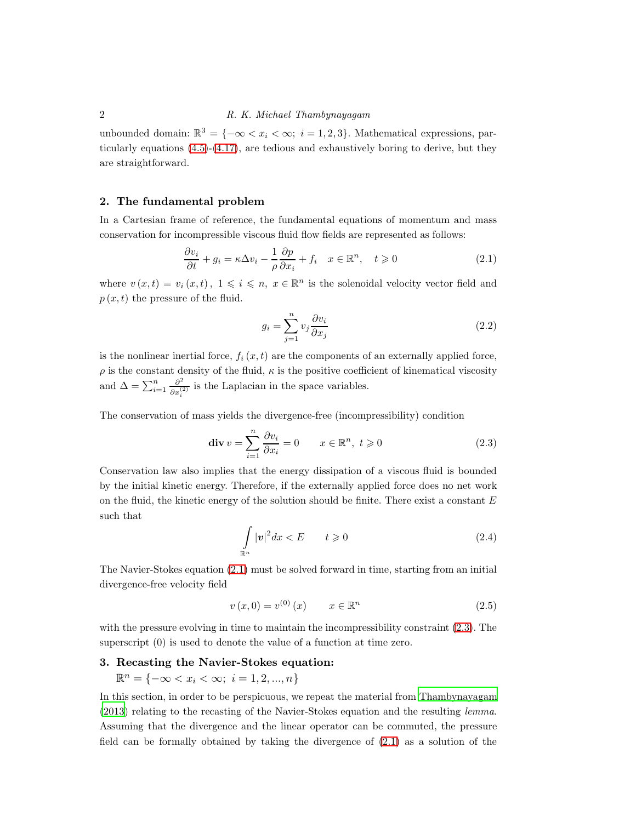unbounded domain:  $\mathbb{R}^3 = \{-\infty < x_i < \infty; i = 1, 2, 3\}$ . Mathematical expressions, particularly equations [\(4](#page-4-0).5)-(4.[17\)](#page-7-0), are tedious and exhaustively boring to derive, but they are straightforward.

#### 2. The fundamental problem

In a Cartesian frame of reference, the fundamental equations of momentum and mass conservation for incompressible viscous fluid flow fields are represented as follows:

<span id="page-1-0"></span>
$$
\frac{\partial v_i}{\partial t} + g_i = \kappa \Delta v_i - \frac{1}{\rho} \frac{\partial p}{\partial x_i} + f_i \quad x \in \mathbb{R}^n, \quad t \geqslant 0 \tag{2.1}
$$

where  $v(x,t) = v_i(x,t)$ ,  $1 \leq i \leq n$ ,  $x \in \mathbb{R}^n$  is the solenoidal velocity vector field and  $p(x, t)$  the pressure of the fluid.

<span id="page-1-2"></span>
$$
g_i = \sum_{j=1}^n v_j \frac{\partial v_i}{\partial x_j} \tag{2.2}
$$

is the nonlinear inertial force,  $f_i(x, t)$  are the components of an externally applied force,  $\rho$  is the constant density of the fluid,  $\kappa$  is the positive coefficient of kinematical viscosity and  $\Delta = \sum_{i=1}^n \frac{\partial^2}{\partial x_i^2}$  $\frac{\partial^2}{\partial x_i^{(2)}}$  is the Laplacian in the space variables.

The conservation of mass yields the divergence-free (incompressibility) condition

<span id="page-1-1"></span>
$$
\operatorname{div} v = \sum_{i=1}^{n} \frac{\partial v_i}{\partial x_i} = 0 \qquad x \in \mathbb{R}^n, \ t \geqslant 0 \tag{2.3}
$$

Conservation law also implies that the energy dissipation of a viscous fluid is bounded by the initial kinetic energy. Therefore, if the externally applied force does no net work on the fluid, the kinetic energy of the solution should be finite. There exist a constant  $E$ such that

$$
\int_{\mathbb{R}^n} |\mathbf{v}|^2 dx < E \qquad t \geqslant 0 \tag{2.4}
$$

The Navier-Stokes equation [\(2](#page-1-0).1) must be solved forward in time, starting from an initial divergence-free velocity field

<span id="page-1-3"></span>
$$
v(x,0) = v^{(0)}(x) \qquad x \in \mathbb{R}^n \tag{2.5}
$$

with the pressure evolving in time to maintain the incompressibility constraint  $(2.3)$ . The superscript (0) is used to denote the value of a function at time zero.

### 3. Recasting the Navier-Stokes equation:

 $\mathbb{R}^n = \{-\infty < x_i < \infty; \ i = 1, 2, ..., n\}$ 

In this section, in order to be perspicuous, we repeat the material from [Thambynayagam](#page-12-7) [\(2013\)](#page-12-7) relating to the recasting of the Navier-Stokes equation and the resulting lemma. Assuming that the divergence and the linear operator can be commuted, the pressure field can be formally obtained by taking the divergence of (2.[1\)](#page-1-0) as a solution of the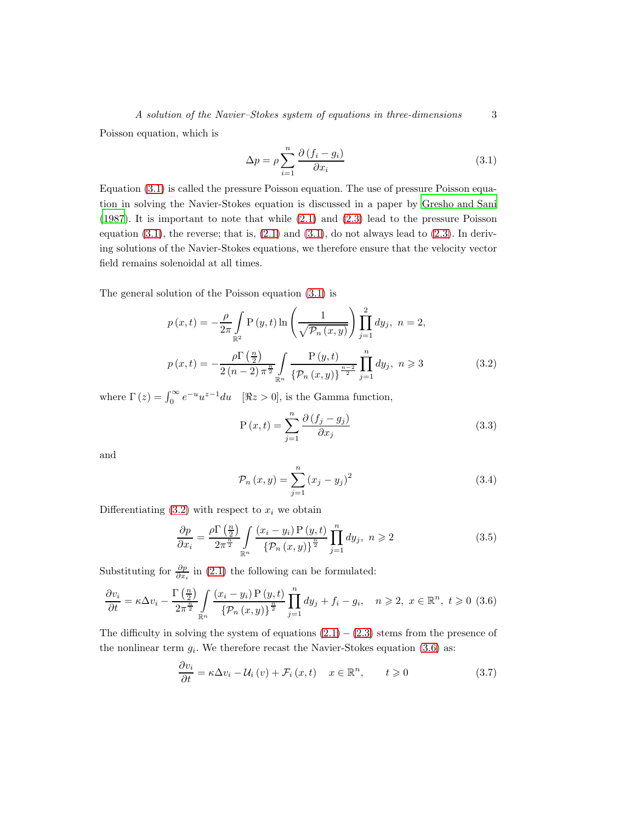Poisson equation, which is

<span id="page-2-0"></span>
$$
\Delta p = \rho \sum_{i=1}^{n} \frac{\partial (f_i - g_i)}{\partial x_i}
$$
\n(3.1)

Equation [\(3](#page-2-0).1) is called the pressure Poisson equation. The use of pressure Poisson equation in solving the Navier-Stokes equation is discussed in a paper by [Gresho and Sani](#page-12-8) [\(1987\)](#page-12-8). It is important to note that while [\(2](#page-1-0).1) and [\(2](#page-1-1).3) lead to the pressure Poisson equation  $(3.1)$  $(3.1)$ , the reverse; that is,  $(2.1)$  and  $(3.1)$ , do not always lead to  $(2.3)$ . In deriving solutions of the Navier-Stokes equations, we therefore ensure that the velocity vector field remains solenoidal at all times.

The general solution of the Poisson equation [\(3](#page-2-0).1) is

<span id="page-2-1"></span>
$$
p(x,t) = -\frac{\rho}{2\pi} \int_{\mathbb{R}^2} P(y,t) \ln \left( \frac{1}{\sqrt{\mathcal{P}_n(x,y)}} \right) \prod_{j=1}^2 dy_j, \ n = 2,
$$
  

$$
p(x,t) = -\frac{\rho \Gamma(\frac{n}{2})}{2(n-2)\pi^{\frac{n}{2}}} \int_{\mathbb{R}^n} \frac{P(y,t)}{\{\mathcal{P}_n(x,y)\}^{\frac{n-2}{2}}} \prod_{j=1}^n dy_j, \ n \geq 3
$$
 (3.2)

where  $\Gamma(z) = \int_0^\infty e^{-u} u^{z-1} du$  [ $\Re z > 0$ ], is the Gamma function,

$$
P(x,t) = \sum_{j=1}^{n} \frac{\partial (f_j - g_j)}{\partial x_j}
$$
\n(3.3)

and

$$
\mathcal{P}_n(x, y) = \sum_{j=1}^n (x_j - y_j)^2
$$
\n(3.4)

Differentiating  $(3.2)$  $(3.2)$  with respect to  $x_i$  we obtain

<span id="page-2-4"></span>
$$
\frac{\partial p}{\partial x_i} = \frac{\rho \Gamma\left(\frac{n}{2}\right)}{2\pi^{\frac{n}{2}}} \int\limits_{\mathbb{R}^n} \frac{(x_i - y_i) \, P\left(y, t\right)}{\left\{\mathcal{P}_n\left(x, y\right)\right\}^{\frac{n}{2}}} \prod\limits_{j=1}^n dy_j, \ n \geqslant 2 \tag{3.5}
$$

Substituting for  $\frac{\partial p}{\partial x_i}$  in (2.[1\)](#page-1-0) the following can be formulated:

<span id="page-2-2"></span>
$$
\frac{\partial v_i}{\partial t} = \kappa \Delta v_i - \frac{\Gamma\left(\frac{n}{2}\right)}{2\pi^{\frac{n}{2}}} \int\limits_{\mathbb{R}^n} \frac{(x_i - y_i) \operatorname{P}(y, t)}{\left\{\mathcal{P}_n(x, y)\right\}^{\frac{n}{2}}} \prod_{j=1}^n dy_j + f_i - g_i, \quad n \geqslant 2, \ x \in \mathbb{R}^n, \ t \geqslant 0 \tag{3.6}
$$

The difficulty in solving the system of equations  $(2.1) - (2.3)$  $(2.1) - (2.3)$  $(2.1) - (2.3)$  stems from the presence of the nonlinear term  $g_i$ . We therefore recast the Navier-Stokes equation [\(3](#page-2-2).6) as:

<span id="page-2-3"></span>
$$
\frac{\partial v_i}{\partial t} = \kappa \Delta v_i - \mathcal{U}_i(v) + \mathcal{F}_i(x, t) \quad x \in \mathbb{R}^n, \qquad t \geqslant 0 \tag{3.7}
$$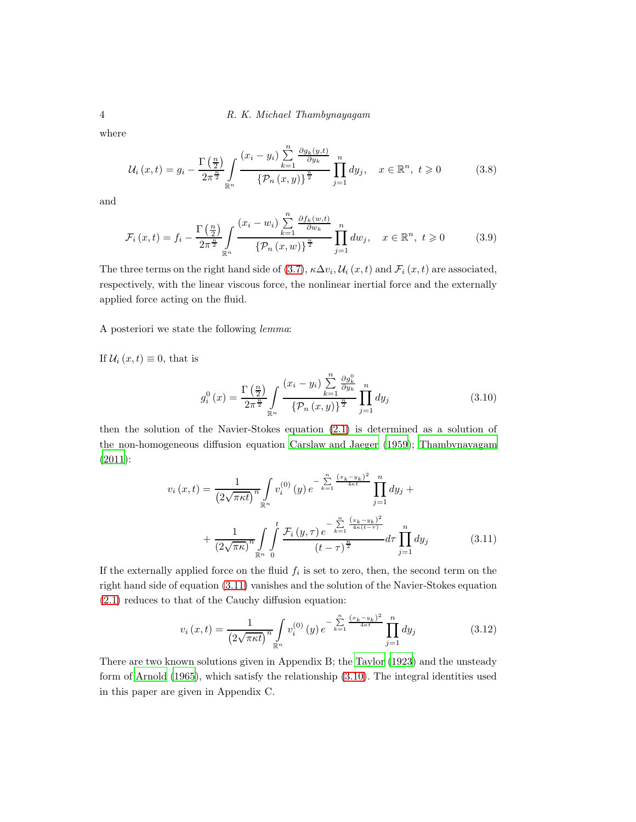where

$$
\mathcal{U}_{i}\left(x,t\right) = g_{i} - \frac{\Gamma\left(\frac{n}{2}\right)}{2\pi^{\frac{n}{2}}} \int\limits_{\mathbb{R}^{n}} \frac{\left(x_{i} - y_{i}\right) \sum\limits_{k=1}^{n} \frac{\partial g_{k}\left(y,t\right)}{\partial y_{k}}}{\left\{\mathcal{P}_{n}\left(x,y\right)\right\}^{\frac{n}{2}}} \prod\limits_{j=1}^{n} dy_{j}, \quad x \in \mathbb{R}^{n}, \ t \geqslant 0 \tag{3.8}
$$

and

$$
\mathcal{F}_i(x,t) = f_i - \frac{\Gamma\left(\frac{n}{2}\right)}{2\pi^{\frac{n}{2}}} \int_{\mathbb{R}^n} \frac{(x_i - w_i) \sum_{k=1}^n \frac{\partial f_k(w,t)}{\partial w_k}}{\left\{\mathcal{P}_n(x,w)\right\}^{\frac{n}{2}}} \prod_{j=1}^n dw_j, \quad x \in \mathbb{R}^n, \ t \geqslant 0 \tag{3.9}
$$

The three terms on the right hand side of (3.[7\)](#page-2-3),  $\kappa \Delta v_i$ ,  $\mathcal{U}_i(x, t)$  and  $\mathcal{F}_i(x, t)$  are associated, respectively, with the linear viscous force, the nonlinear inertial force and the externally applied force acting on the fluid.

A posteriori we state the following lemma:

If  $U_i(x,t) \equiv 0$ , that is

<span id="page-3-1"></span>
$$
g_i^0(x) = \frac{\Gamma\left(\frac{n}{2}\right)}{2\pi^{\frac{n}{2}}} \int_{\mathbb{R}^n} \frac{(x_i - y_i) \sum_{k=1}^n \frac{\partial g_k^0}{\partial y_k}}{\left\{\mathcal{P}_n(x, y)\right\}^{\frac{n}{2}}} \prod_{j=1}^n dy_j \tag{3.10}
$$

then the solution of the Navier-Stokes equation [\(2](#page-1-0).1) is determined as a solution of the non-homogeneous diffusion equation [Carslaw and Jaeger \(1959\)](#page-12-9); [Thambynayagam](#page-12-10) [\(2011\)](#page-12-10):

<span id="page-3-0"></span>
$$
v_i(x,t) = \frac{1}{\left(2\sqrt{\pi\kappa t}\right)^n} \int_{\mathbb{R}^n} v_i^{(0)}(y) e^{-\sum_{k=1}^n \frac{(x_k - y_k)^2}{4\kappa t}} \prod_{j=1}^n dy_j + \frac{1}{\left(2\sqrt{\pi\kappa}\right)^n} \int_{\mathbb{R}^n} \int_{0}^t \frac{\mathcal{F}_i(y,\tau) e^{-\sum_{k=1}^n \frac{(x_k - y_k)^2}{4\kappa(t-\tau)}}}{(t-\tau)^{\frac{n}{2}}} d\tau \prod_{j=1}^n dy_j \qquad (3.11)
$$

If the externally applied force on the fluid  $f_i$  is set to zero, then, the second term on the right hand side of equation (3.[11\)](#page-3-0) vanishes and the solution of the Navier-Stokes equation (2.[1\)](#page-1-0) reduces to that of the Cauchy diffusion equation:

<span id="page-3-2"></span>
$$
v_i(x,t) = \frac{1}{\left(2\sqrt{\pi\kappa t}\right)^n} \int_{\mathbb{R}^n} v_i^{(0)}\left(y\right) e^{-\sum_{k=1}^n \frac{\left(x_k - y_k\right)^2}{4\kappa t}} \prod_{j=1}^n dy_j \tag{3.12}
$$

There are two known solutions given in Appendix B; the [Taylor \(1923](#page-12-11)) and the unsteady form of [Arnold \(1965\)](#page-12-12), which satisfy the relationship (3.[10\)](#page-3-1). The integral identities used in this paper are given in Appendix C.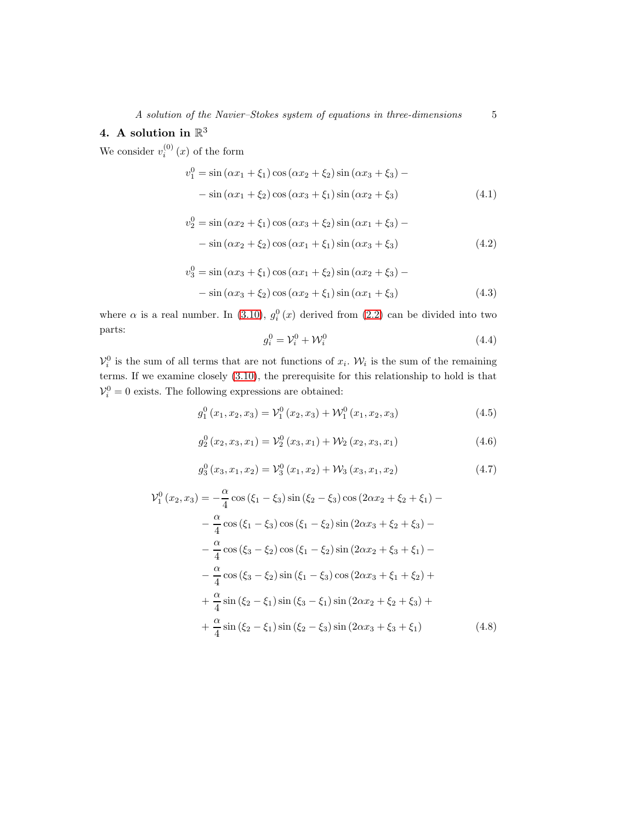### 4. A solution in  $\mathbb{R}^3$

We consider  $v_i^{(0)}(x)$  of the form

$$
v_1^0 = \sin(\alpha x_1 + \xi_1)\cos(\alpha x_2 + \xi_2)\sin(\alpha x_3 + \xi_3) -
$$
  
- 
$$
\sin(\alpha x_1 + \xi_2)\cos(\alpha x_3 + \xi_1)\sin(\alpha x_2 + \xi_3)
$$
 (4.1)

$$
v_2^0 = \sin(\alpha x_2 + \xi_1)\cos(\alpha x_3 + \xi_2)\sin(\alpha x_1 + \xi_3) -
$$
  
- 
$$
\sin(\alpha x_2 + \xi_2)\cos(\alpha x_1 + \xi_1)\sin(\alpha x_3 + \xi_3)
$$
 (4.2)

$$
v_3^0 = \sin(\alpha x_3 + \xi_1)\cos(\alpha x_1 + \xi_2)\sin(\alpha x_2 + \xi_3) -
$$
  
- 
$$
\sin(\alpha x_3 + \xi_2)\cos(\alpha x_2 + \xi_1)\sin(\alpha x_1 + \xi_3)
$$
 (4.3)

where  $\alpha$  is a real number. In (3.[10\)](#page-3-1),  $g_i^0(x)$  derived from [\(2](#page-1-2).2) can be divided into two parts:

$$
g_i^0 = \mathcal{V}_i^0 + \mathcal{W}_i^0 \tag{4.4}
$$

 $\mathcal{V}_i^0$  is the sum of all terms that are not functions of  $x_i$ . W<sub>i</sub> is the sum of the remaining terms. If we examine closely (3.[10\)](#page-3-1), the prerequisite for this relationship to hold is that  $V_i^0 = 0$  exists. The following expressions are obtained:

<span id="page-4-0"></span>
$$
g_1^0(x_1, x_2, x_3) = \mathcal{V}_1^0(x_2, x_3) + \mathcal{W}_1^0(x_1, x_2, x_3)
$$
\n(4.5)

$$
g_2^0(x_2, x_3, x_1) = \mathcal{V}_2^0(x_3, x_1) + \mathcal{W}_2(x_2, x_3, x_1)
$$
\n(4.6)

$$
g_3^0(x_3, x_1, x_2) = \mathcal{V}_3^0(x_1, x_2) + \mathcal{W}_3(x_3, x_1, x_2)
$$
\n(4.7)

$$
\mathcal{V}_{1}^{0}(x_{2}, x_{3}) = -\frac{\alpha}{4}\cos(\xi_{1} - \xi_{3})\sin(\xi_{2} - \xi_{3})\cos(2\alpha x_{2} + \xi_{2} + \xi_{1}) -
$$
  
\n
$$
-\frac{\alpha}{4}\cos(\xi_{1} - \xi_{3})\cos(\xi_{1} - \xi_{2})\sin(2\alpha x_{3} + \xi_{2} + \xi_{3}) -
$$
  
\n
$$
-\frac{\alpha}{4}\cos(\xi_{3} - \xi_{2})\cos(\xi_{1} - \xi_{2})\sin(2\alpha x_{2} + \xi_{3} + \xi_{1}) -
$$
  
\n
$$
-\frac{\alpha}{4}\cos(\xi_{3} - \xi_{2})\sin(\xi_{1} - \xi_{3})\cos(2\alpha x_{3} + \xi_{1} + \xi_{2}) +
$$
  
\n
$$
+\frac{\alpha}{4}\sin(\xi_{2} - \xi_{1})\sin(\xi_{3} - \xi_{1})\sin(2\alpha x_{2} + \xi_{2} + \xi_{3}) +
$$
  
\n
$$
+\frac{\alpha}{4}\sin(\xi_{2} - \xi_{1})\sin(\xi_{2} - \xi_{3})\sin(2\alpha x_{3} + \xi_{3} + \xi_{1})
$$
  
\n(4.8)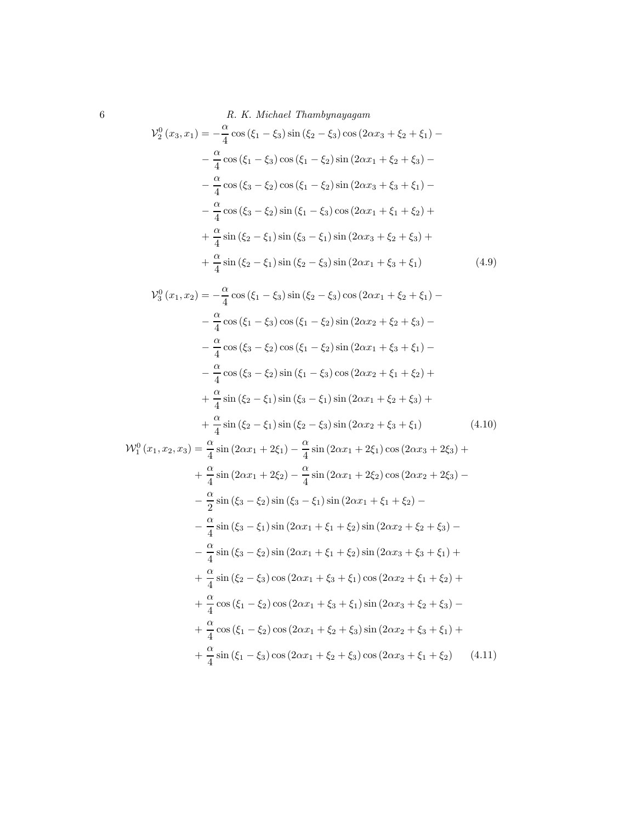6 R. K. Michael Thambynayagam

$$
\mathcal{V}_{2}^{0}(x_{3}, x_{1}) = -\frac{\alpha}{4}\cos(\xi_{1} - \xi_{3})\sin(\xi_{2} - \xi_{3})\cos(2\alpha x_{3} + \xi_{2} + \xi_{1}) -
$$

$$
-\frac{\alpha}{4}\cos(\xi_{1} - \xi_{3})\cos(\xi_{1} - \xi_{2})\sin(2\alpha x_{1} + \xi_{2} + \xi_{3}) -
$$

$$
-\frac{\alpha}{4}\cos(\xi_{3} - \xi_{2})\cos(\xi_{1} - \xi_{2})\sin(2\alpha x_{3} + \xi_{3} + \xi_{1}) -
$$

$$
-\frac{\alpha}{4}\cos(\xi_{3} - \xi_{2})\sin(\xi_{1} - \xi_{3})\cos(2\alpha x_{1} + \xi_{1} + \xi_{2}) +
$$

$$
+\frac{\alpha}{4}\sin(\xi_{2} - \xi_{1})\sin(\xi_{3} - \xi_{1})\sin(2\alpha x_{3} + \xi_{2} + \xi_{3}) +
$$

$$
+\frac{\alpha}{4}\sin(\xi_{2} - \xi_{1})\sin(\xi_{2} - \xi_{3})\sin(2\alpha x_{1} + \xi_{3} + \xi_{1}) \tag{4.9}
$$

$$
\mathcal{V}_3^0(x_1, x_2) = -\frac{\alpha}{4}\cos(\xi_1 - \xi_3)\sin(\xi_2 - \xi_3)\cos(2\alpha x_1 + \xi_2 + \xi_1) -
$$
  
\n
$$
-\frac{\alpha}{4}\cos(\xi_1 - \xi_3)\cos(\xi_1 - \xi_2)\sin(2\alpha x_2 + \xi_2 + \xi_3) -
$$
  
\n
$$
-\frac{\alpha}{4}\cos(\xi_3 - \xi_2)\cos(\xi_1 - \xi_2)\sin(2\alpha x_1 + \xi_3 + \xi_1) -
$$
  
\n
$$
-\frac{\alpha}{4}\cos(\xi_3 - \xi_2)\sin(\xi_1 - \xi_3)\cos(2\alpha x_2 + \xi_1 + \xi_2) +
$$
  
\n
$$
+\frac{\alpha}{4}\sin(\xi_2 - \xi_1)\sin(\xi_3 - \xi_1)\sin(2\alpha x_1 + \xi_2 + \xi_3) +
$$
  
\n
$$
+\frac{\alpha}{4}\sin(\xi_2 - \xi_1)\sin(\xi_2 - \xi_3)\sin(2\alpha x_2 + \xi_3 + \xi_1)
$$
(4.10)

$$
\mathcal{W}_{1}^{0}(x_{1}, x_{2}, x_{3}) = \frac{\alpha}{4}\sin(2\alpha x_{1} + 2\xi_{1}) - \frac{\alpha}{4}\sin(2\alpha x_{1} + 2\xi_{1})\cos(2\alpha x_{3} + 2\xi_{3}) +
$$
  
+  $\frac{\alpha}{4}\sin(2\alpha x_{1} + 2\xi_{2}) - \frac{\alpha}{4}\sin(2\alpha x_{1} + 2\xi_{2})\cos(2\alpha x_{2} + 2\xi_{3}) -$   
-  $\frac{\alpha}{2}\sin(\xi_{3} - \xi_{2})\sin(\xi_{3} - \xi_{1})\sin(2\alpha x_{1} + \xi_{1} + \xi_{2}) -$   
-  $\frac{\alpha}{4}\sin(\xi_{3} - \xi_{1})\sin(2\alpha x_{1} + \xi_{1} + \xi_{2})\sin(2\alpha x_{2} + \xi_{2} + \xi_{3}) -$   
-  $\frac{\alpha}{4}\sin(\xi_{3} - \xi_{2})\sin(2\alpha x_{1} + \xi_{1} + \xi_{2})\sin(2\alpha x_{3} + \xi_{3} + \xi_{1}) +$   
+  $\frac{\alpha}{4}\sin(\xi_{2} - \xi_{3})\cos(2\alpha x_{1} + \xi_{3} + \xi_{1})\cos(2\alpha x_{2} + \xi_{1} + \xi_{2}) +$   
+  $\frac{\alpha}{4}\cos(\xi_{1} - \xi_{2})\cos(2\alpha x_{1} + \xi_{3} + \xi_{1})\sin(2\alpha x_{3} + \xi_{2} + \xi_{3}) -$   
+  $\frac{\alpha}{4}\cos(\xi_{1} - \xi_{2})\cos(2\alpha x_{1} + \xi_{2} + \xi_{3})\sin(2\alpha x_{2} + \xi_{3} + \xi_{1}) +$   
+  $\frac{\alpha}{4}\sin(\xi_{1} - \xi_{3})\cos(2\alpha x_{1} + \xi_{2} + \xi_{3})\cos(2\alpha x_{3} + \xi_{1} + \xi_{2})$  (4.11)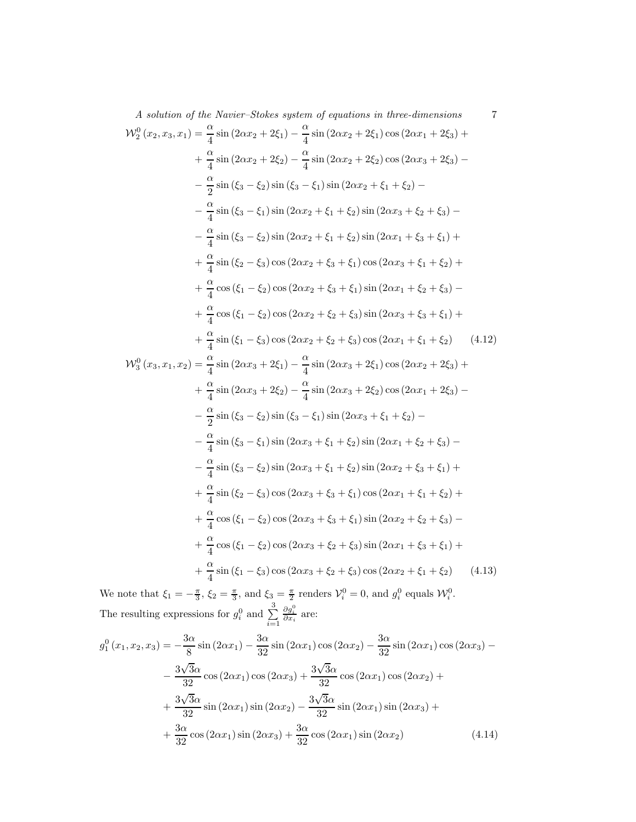A solution of the Navier–Stokes system of equations in three-dimensions  
\n
$$
\mathcal{W}_2^0(x_2, x_3, x_1) = \frac{\alpha}{4} \sin (2\alpha x_2 + 2\xi_1) - \frac{\alpha}{4} \sin (2\alpha x_2 + 2\xi_1) \cos (2\alpha x_1 + 2\xi_3) + \frac{\alpha}{4} \sin (2\alpha x_2 + 2\xi_2) - \frac{\alpha}{4} \sin (2\alpha x_2 + \xi_1 + \xi_2) - \frac{\alpha}{4} \sin (\xi_3 - \xi_1) \sin (2\alpha x_2 + \xi_1 + \xi_2) \sin (2\alpha x_3 + \xi_2 + \xi_3) - \frac{\alpha}{4} \sin (\xi_3 - \xi_1) \sin (2\alpha x_2 + \xi_1 + \xi_2) \sin (2\alpha x_3 + \xi_2 + \xi_3) - \frac{\alpha}{4} \sin (\xi_3 - \xi_1) \sin (2\alpha x_2 + \xi_1 + \xi_2) \sin (2\alpha x_1 + \xi_3 + \xi_1) + \frac{\alpha}{4} \sin (\xi_2 - \xi_3) \cos (2\alpha x_2 + \xi_3 + \xi_1) \cos (2\alpha x_3 + \xi_1 + \xi_2) + \frac{\alpha}{4} \cos (\xi_1 - \xi_2) \cos (2\alpha x_2 + \xi_3 + \xi_1) \sin (2\alpha x_1 + \xi_2 + \xi_3) - \frac{\alpha}{4} \cos (\xi_1 - \xi_2) \cos (2\alpha x_2 + \xi_2 + \xi_3) \sin (2\alpha x_3 + \xi_3 + \xi_1) + \frac{\alpha}{4} \cos (\xi_1 - \xi_2) \cos (2\alpha x_2 + \xi_2 + \xi_3) \sin (2\alpha x_3 + \xi_3 + \xi_1) + \frac{\alpha}{4} \sin (\xi_1 - \xi_3) \cos (2\alpha x_2 + \xi_2 + \xi_3) \cos (2\alpha x_1 + \xi_1 + \xi_2) \qquad (4.12)
$$
\n
$$
\mathcal{W}_3^0(x_3, x_1, x_2) = \frac{\alpha}{4} \sin (2\alpha x_3 + 2\xi_1) - \frac{\alpha}{4} \sin (2\alpha x_3 + 2\xi_1) \cos (2\alpha x_1 + \xi_1 + \xi_2) \qquad (4.12)
$$
\

We note that  $\xi_1 = -\frac{\pi}{3}$ ,  $\xi_2 = \frac{\pi}{3}$ , and  $\xi_3 = \frac{\pi}{2}$  renders  $\mathcal{V}_i^0 = 0$ , and  $g_i^0$  equals  $\mathcal{W}_i^0$ . The resulting expressions for  $g_i^0$  and  $\sum^3$  $i=1$  $\frac{\partial g_i^0}{\partial x_i}$  are:

$$
g_1^0(x_1, x_2, x_3) = -\frac{3\alpha}{8}\sin(2\alpha x_1) - \frac{3\alpha}{32}\sin(2\alpha x_1)\cos(2\alpha x_2) - \frac{3\alpha}{32}\sin(2\alpha x_1)\cos(2\alpha x_3) -
$$

$$
-\frac{3\sqrt{3}\alpha}{32}\cos(2\alpha x_1)\cos(2\alpha x_3) + \frac{3\sqrt{3}\alpha}{32}\cos(2\alpha x_1)\cos(2\alpha x_2) +
$$

$$
+\frac{3\sqrt{3}\alpha}{32}\sin(2\alpha x_1)\sin(2\alpha x_2) - \frac{3\sqrt{3}\alpha}{32}\sin(2\alpha x_1)\sin(2\alpha x_3) +
$$

$$
+\frac{3\alpha}{32}\cos(2\alpha x_1)\sin(2\alpha x_3) + \frac{3\alpha}{32}\cos(2\alpha x_1)\sin(2\alpha x_2) \tag{4.14}
$$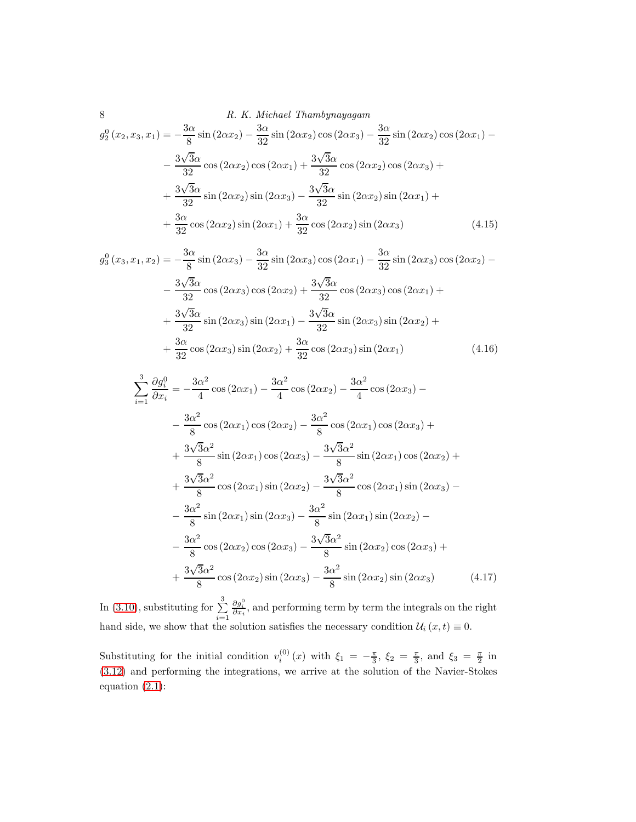8 *R. K. Michael Thambynayagam*  
\n
$$
g_2^0(x_2, x_3, x_1) = -\frac{3\alpha}{8}\sin(2\alpha x_2) - \frac{3\alpha}{32}\sin(2\alpha x_2)\cos(2\alpha x_3) - \frac{3\alpha}{32}\sin(2\alpha x_2)\cos(2\alpha x_1) -
$$
\n
$$
-\frac{3\sqrt{3}\alpha}{32}\cos(2\alpha x_2)\cos(2\alpha x_1) + \frac{3\sqrt{3}\alpha}{32}\cos(2\alpha x_2)\cos(2\alpha x_3) +
$$
\n
$$
+\frac{3\sqrt{3}\alpha}{32}\sin(2\alpha x_2)\sin(2\alpha x_3) - \frac{3\sqrt{3}\alpha}{32}\sin(2\alpha x_2)\sin(2\alpha x_1) +
$$
\n
$$
+\frac{3\alpha}{32}\cos(2\alpha x_2)\sin(2\alpha x_1) + \frac{3\alpha}{32}\cos(2\alpha x_2)\sin(2\alpha x_3)
$$
\n(4.15)

$$
g_3^0(x_3, x_1, x_2) = -\frac{3\alpha}{8}\sin(2\alpha x_3) - \frac{3\alpha}{32}\sin(2\alpha x_3)\cos(2\alpha x_1) - \frac{3\alpha}{32}\sin(2\alpha x_3)\cos(2\alpha x_2) -
$$

$$
-\frac{3\sqrt{3}\alpha}{32}\cos(2\alpha x_3)\cos(2\alpha x_2) + \frac{3\sqrt{3}\alpha}{32}\cos(2\alpha x_3)\cos(2\alpha x_1) +
$$

$$
+\frac{3\sqrt{3}\alpha}{32}\sin(2\alpha x_3)\sin(2\alpha x_1) - \frac{3\sqrt{3}\alpha}{32}\sin(2\alpha x_3)\sin(2\alpha x_2) +
$$

$$
+\frac{3\alpha}{32}\cos(2\alpha x_3)\sin(2\alpha x_2) + \frac{3\alpha}{32}\cos(2\alpha x_3)\sin(2\alpha x_1) \tag{4.16}
$$

<span id="page-7-0"></span>
$$
\sum_{i=1}^{3} \frac{\partial g_i^0}{\partial x_i} = -\frac{3\alpha^2}{4} \cos(2\alpha x_1) - \frac{3\alpha^2}{4} \cos(2\alpha x_2) - \frac{3\alpha^2}{4} \cos(2\alpha x_3) -
$$
  
\n
$$
- \frac{3\alpha^2}{8} \cos(2\alpha x_1) \cos(2\alpha x_2) - \frac{3\alpha^2}{8} \cos(2\alpha x_1) \cos(2\alpha x_3) +
$$
  
\n
$$
+ \frac{3\sqrt{3}\alpha^2}{8} \sin(2\alpha x_1) \cos(2\alpha x_3) - \frac{3\sqrt{3}\alpha^2}{8} \sin(2\alpha x_1) \cos(2\alpha x_2) +
$$
  
\n
$$
+ \frac{3\sqrt{3}\alpha^2}{8} \cos(2\alpha x_1) \sin(2\alpha x_2) - \frac{3\sqrt{3}\alpha^2}{8} \cos(2\alpha x_1) \sin(2\alpha x_3) -
$$
  
\n
$$
- \frac{3\alpha^2}{8} \sin(2\alpha x_1) \sin(2\alpha x_3) - \frac{3\alpha^2}{8} \sin(2\alpha x_1) \sin(2\alpha x_2) -
$$
  
\n
$$
- \frac{3\alpha^2}{8} \cos(2\alpha x_2) \cos(2\alpha x_3) - \frac{3\sqrt{3}\alpha^2}{8} \sin(2\alpha x_2) \cos(2\alpha x_3) +
$$
  
\n
$$
+ \frac{3\sqrt{3}\alpha^2}{8} \cos(2\alpha x_2) \sin(2\alpha x_3) - \frac{3\alpha^2}{8} \sin(2\alpha x_2) \sin(2\alpha x_3) \qquad (4.17)
$$

In (3.[10\)](#page-3-1), substituting for  $\sum_{n=1}^{3}$  $i=1$  $\frac{\partial g_i^0}{\partial x_i}$ , and performing term by term the integrals on the right hand side, we show that the solution satisfies the necessary condition  $\mathcal{U}_i(x, t) \equiv 0$ .

Substituting for the initial condition  $v_i^{(0)}(x)$  with  $\xi_1 = -\frac{\pi}{3}$ ,  $\xi_2 = \frac{\pi}{3}$ , and  $\xi_3 = \frac{\pi}{2}$  in (3.[12\)](#page-3-2) and performing the integrations, we arrive at the solution of the Navier-Stokes equation (2.[1\)](#page-1-0):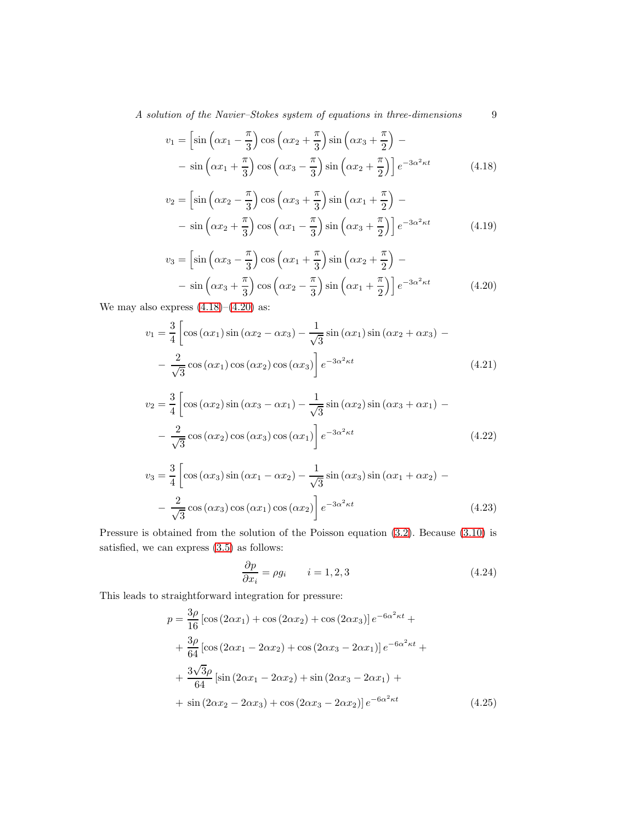A solution of the Navier–Stokes system of equations in three-dimensions 9

<span id="page-8-0"></span>
$$
v_1 = \left[\sin\left(\alpha x_1 - \frac{\pi}{3}\right)\cos\left(\alpha x_2 + \frac{\pi}{3}\right)\sin\left(\alpha x_3 + \frac{\pi}{2}\right)\right] - \sin\left(\alpha x_1 + \frac{\pi}{3}\right)\cos\left(\alpha x_3 - \frac{\pi}{3}\right)\sin\left(\alpha x_2 + \frac{\pi}{2}\right)\right]e^{-3\alpha^2 \kappa t}
$$
(4.18)

$$
v_2 = \left[\sin\left(\alpha x_2 - \frac{\pi}{3}\right)\cos\left(\alpha x_3 + \frac{\pi}{3}\right)\sin\left(\alpha x_1 + \frac{\pi}{2}\right) - \right] - \sin\left(\alpha x_2 + \frac{\pi}{3}\right)\cos\left(\alpha x_1 - \frac{\pi}{3}\right)\sin\left(\alpha x_3 + \frac{\pi}{2}\right)\right]e^{-3\alpha^2 \kappa t}
$$
(4.19)

<span id="page-8-1"></span>
$$
v_3 = \left[\sin\left(\alpha x_3 - \frac{\pi}{3}\right)\cos\left(\alpha x_1 + \frac{\pi}{3}\right)\sin\left(\alpha x_2 + \frac{\pi}{2}\right) - \right] - \sin\left(\alpha x_3 + \frac{\pi}{3}\right)\cos\left(\alpha x_2 - \frac{\pi}{3}\right)\sin\left(\alpha x_1 + \frac{\pi}{2}\right)\right]e^{-3\alpha^2 \kappa t}
$$
(4.20)

We may also express  $(4.18)$  $(4.18)$ – $(4.20)$  $(4.20)$  as:

<span id="page-8-2"></span>
$$
v_1 = \frac{3}{4} \left[ \cos(\alpha x_1) \sin(\alpha x_2 - \alpha x_3) - \frac{1}{\sqrt{3}} \sin(\alpha x_1) \sin(\alpha x_2 + \alpha x_3) - \frac{2}{\sqrt{3}} \cos(\alpha x_1) \cos(\alpha x_2) \cos(\alpha x_3) \right] e^{-3\alpha^2 \kappa t}
$$
(4.21)

$$
v_2 = \frac{3}{4} \left[ \cos \left( \alpha x_2 \right) \sin \left( \alpha x_3 - \alpha x_1 \right) - \frac{1}{\sqrt{3}} \sin \left( \alpha x_2 \right) \sin \left( \alpha x_3 + \alpha x_1 \right) - \frac{2}{\sqrt{3}} \cos \left( \alpha x_2 \right) \cos \left( \alpha x_3 \right) \cos \left( \alpha x_1 \right) \right] e^{-3\alpha^2 \kappa t}
$$
\n(4.22)

$$
v_3 = \frac{3}{4} \left[ \cos \left( \alpha x_3 \right) \sin \left( \alpha x_1 - \alpha x_2 \right) - \frac{1}{\sqrt{3}} \sin \left( \alpha x_3 \right) \sin \left( \alpha x_1 + \alpha x_2 \right) - \frac{2}{\sqrt{3}} \cos \left( \alpha x_3 \right) \cos \left( \alpha x_1 \right) \cos \left( \alpha x_2 \right) \right] e^{-3\alpha^2 \kappa t}
$$
(4.23)

Pressure is obtained from the solution of the Poisson equation [\(3](#page-2-1).2). Because (3.[10\)](#page-3-1) is satisfied, we can express (3.[5\)](#page-2-4) as follows:

$$
\frac{\partial p}{\partial x_i} = \rho g_i \qquad i = 1, 2, 3 \tag{4.24}
$$

This leads to straightforward integration for pressure:

$$
p = \frac{3\rho}{16} \left[ \cos(2\alpha x_1) + \cos(2\alpha x_2) + \cos(2\alpha x_3) \right] e^{-6\alpha^2 \kappa t} +
$$
  
+ 
$$
\frac{3\rho}{64} \left[ \cos(2\alpha x_1 - 2\alpha x_2) + \cos(2\alpha x_3 - 2\alpha x_1) \right] e^{-6\alpha^2 \kappa t} +
$$
  
+ 
$$
\frac{3\sqrt{3}\rho}{64} \left[ \sin(2\alpha x_1 - 2\alpha x_2) + \sin(2\alpha x_3 - 2\alpha x_1) +
$$
  
+ 
$$
\sin(2\alpha x_2 - 2\alpha x_3) + \cos(2\alpha x_3 - 2\alpha x_2) \right] e^{-6\alpha^2 \kappa t}
$$
(4.25)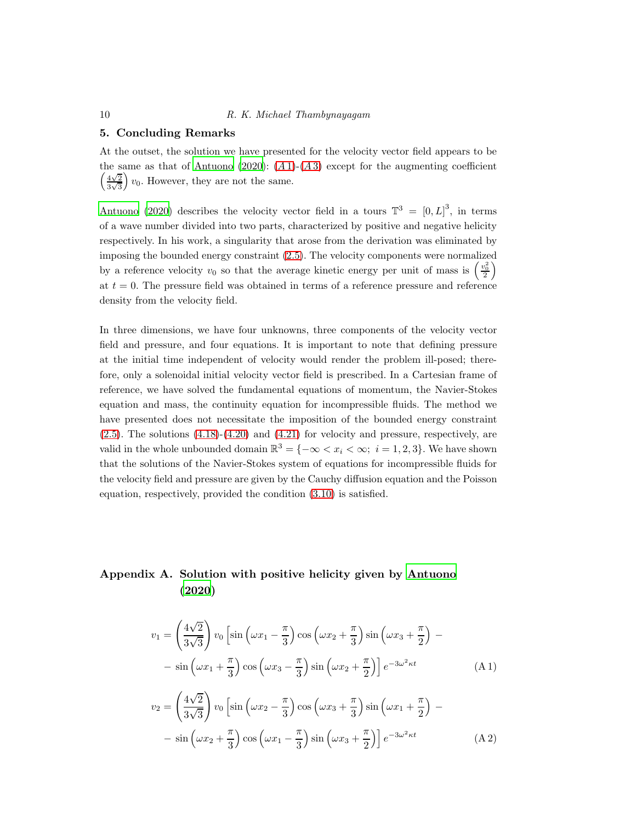#### 10 R. K. Michael Thambynayagam

#### 5. Concluding Remarks

At the outset, the solution we have presented for the velocity vector field appears to be the same as that of [Antuono \(2020\)](#page-12-6):  $(A1)-(A3)$  $(A1)-(A3)$  $(A1)-(A3)$  except for the augmenting coefficient  $\sqrt{\frac{4\sqrt{2}}{2}}$  $\frac{4\sqrt{2}}{3\sqrt{3}}$  v<sub>0</sub>. However, they are not the same.

[Antuono \(2020](#page-12-6)) describes the velocity vector field in a tours  $\mathbb{T}^3 = [0, L]^3$ , in terms of a wave number divided into two parts, characterized by positive and negative helicity respectively. In his work, a singularity that arose from the derivation was eliminated by imposing the bounded energy constraint (2.[5\)](#page-1-3). The velocity components were normalized by a reference velocity  $v_0$  so that the average kinetic energy per unit of mass is  $\left(\frac{v_0^2}{2}\right)$ at  $t = 0$ . The pressure field was obtained in terms of a reference pressure and reference density from the velocity field.

In three dimensions, we have four unknowns, three components of the velocity vector field and pressure, and four equations. It is important to note that defining pressure at the initial time independent of velocity would render the problem ill-posed; therefore, only a solenoidal initial velocity vector field is prescribed. In a Cartesian frame of reference, we have solved the fundamental equations of momentum, the Navier-Stokes equation and mass, the continuity equation for incompressible fluids. The method we have presented does not necessitate the imposition of the bounded energy constraint  $(2.5)$  $(2.5)$ . The solutions  $(4.18)-(4.20)$  $(4.18)-(4.20)$  $(4.18)-(4.20)$  $(4.18)-(4.20)$  and  $(4.21)$  $(4.21)$  for velocity and pressure, respectively, are valid in the whole unbounded domain  $\mathbb{R}^3 = \{-\infty < x_i < \infty; \ i = 1, 2, 3\}$ . We have shown that the solutions of the Navier-Stokes system of equations for incompressible fluids for the velocity field and pressure are given by the Cauchy diffusion equation and the Poisson equation, respectively, provided the condition (3.[10\)](#page-3-1) is satisfied.

### Appendix A. Solution with positive helicity given by [Antuono](#page-12-6) [\(2020\)](#page-12-6)

<span id="page-9-0"></span>
$$
v_1 = \left(\frac{4\sqrt{2}}{3\sqrt{3}}\right) v_0 \left[\sin\left(\omega x_1 - \frac{\pi}{3}\right) \cos\left(\omega x_2 + \frac{\pi}{3}\right) \sin\left(\omega x_3 + \frac{\pi}{2}\right) - \right]
$$

$$
- \sin\left(\omega x_1 + \frac{\pi}{3}\right) \cos\left(\omega x_3 - \frac{\pi}{3}\right) \sin\left(\omega x_2 + \frac{\pi}{2}\right) \right] e^{-3\omega^2 \kappa t}
$$
(A1)  

$$
\left(\frac{4\sqrt{2}}{3}\right) \left[1 + \left(\frac{\pi}{2}\right) \left(\frac{\pi}{2}\right) \left(\frac{\pi}{2}\right) \left(\frac{\pi}{2}\right) \left(\frac{\pi}{2}\right) \left(\frac{\pi}{2}\right) \left(\frac{\pi}{2}\right) \left(\frac{\pi}{2}\right) \left(\frac{\pi}{2}\right) \left(\frac{\pi}{2}\right) \left(\frac{\pi}{2}\right) \left(\frac{\pi}{2}\right) \left(\frac{\pi}{2}\right) \left(\frac{\pi}{2}\right) \left(\frac{\pi}{2}\right) \left(\frac{\pi}{2}\right) \left(\frac{\pi}{2}\right) \left(\frac{\pi}{2}\right) \left(\frac{\pi}{2}\right) \left(\frac{\pi}{2}\right) \left(\frac{\pi}{2}\right) \left(\frac{\pi}{2}\right) \left(\frac{\pi}{2}\right) \left(\frac{\pi}{2}\right) \left(\frac{\pi}{2}\right) \left(\frac{\pi}{2}\right) \left(\frac{\pi}{2}\right) \left(\frac{\pi}{2}\right) \left(\frac{\pi}{2}\right) \left(\frac{\pi}{2}\right) \left(\frac{\pi}{2}\right) \left(\frac{\pi}{2}\right) \left(\frac{\pi}{2}\right) \left(\frac{\pi}{2}\right) \left(\frac{\pi}{2}\right) \left(\frac{\pi}{2}\right) \left(\frac{\pi}{2}\right) \left(\frac{\pi}{2}\right) \left(\frac{\pi}{2}\right) \left(\frac{\pi}{2}\right) \left(\frac{\pi}{2}\right) \left(\frac{\pi}{2}\right) \left(\frac{\pi}{2}\right) \left(\frac{\pi}{2}\right) \left(\frac{\pi}{2}\right) \left(\frac{\pi}{2}\right) \left(\frac{\pi}{2}\right) \left(\frac{\pi}{2}\right) \left(\frac{\pi}{2}\right) \left(\frac{\pi}{2}\right) \left(\frac{\pi
$$

$$
v_2 = \left(\frac{4\sqrt{2}}{3\sqrt{3}}\right) v_0 \left[\sin\left(\omega x_2 - \frac{\pi}{3}\right) \cos\left(\omega x_3 + \frac{\pi}{3}\right) \sin\left(\omega x_1 + \frac{\pi}{2}\right) - \right] - \sin\left(\omega x_2 + \frac{\pi}{3}\right) \cos\left(\omega x_1 - \frac{\pi}{3}\right) \sin\left(\omega x_3 + \frac{\pi}{2}\right) \right] e^{-3\omega^2 \kappa t}
$$
(A 2)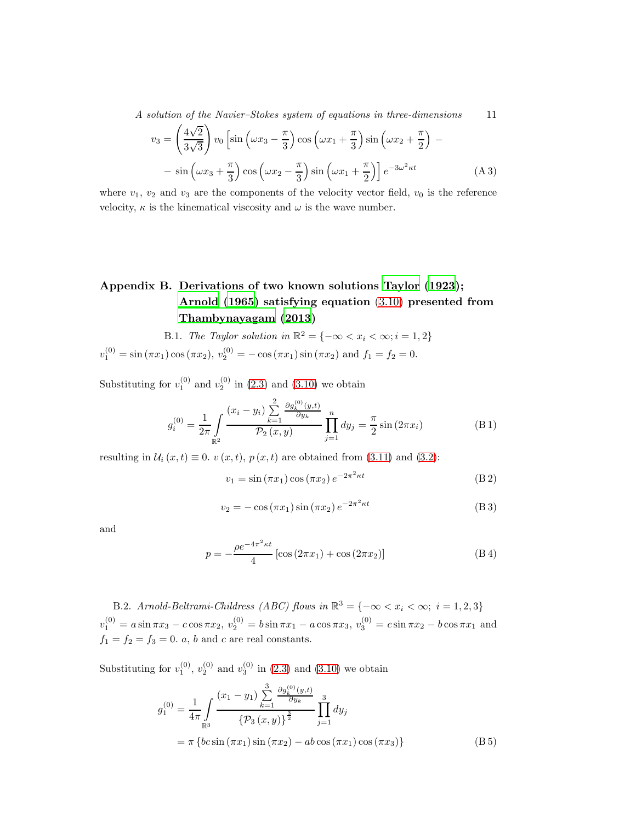A solution of the Navier–Stokes system of equations in three-dimensions 11

<span id="page-10-0"></span>
$$
v_3 = \left(\frac{4\sqrt{2}}{3\sqrt{3}}\right) v_0 \left[\sin\left(\omega x_3 - \frac{\pi}{3}\right) \cos\left(\omega x_1 + \frac{\pi}{3}\right) \sin\left(\omega x_2 + \frac{\pi}{2}\right) - \right] - \sin\left(\omega x_3 + \frac{\pi}{3}\right) \cos\left(\omega x_2 - \frac{\pi}{3}\right) \sin\left(\omega x_1 + \frac{\pi}{2}\right) e^{-3\omega^2 \kappa t}
$$
(A 3)

where  $v_1, v_2$  and  $v_3$  are the components of the velocity vector field,  $v_0$  is the reference velocity,  $\kappa$  is the kinematical viscosity and  $\omega$  is the wave number.

## Appendix B. Derivations of two known solutions [Taylor \(1923](#page-12-11)); [Arnold \(1965\)](#page-12-12) satisfying equation (3.[10\)](#page-3-1) presented from [Thambynayagam \(2013\)](#page-12-7)

B.1. The Taylor solution in 
$$
\mathbb{R}^2 = \{-\infty < x_i < \infty; i = 1, 2\}
$$
  
 $v_1^{(0)} = \sin(\pi x_1) \cos(\pi x_2), v_2^{(0)} = -\cos(\pi x_1) \sin(\pi x_2)$  and  $f_1 = f_2 = 0$ .

Substituting for  $v_1^{(0)}$  and  $v_2^{(0)}$  in [\(2](#page-1-1).3) and (3.[10\)](#page-3-1) we obtain

$$
g_i^{(0)} = \frac{1}{2\pi} \int_{\mathbb{R}^2} \frac{(x_i - y_i) \sum_{k=1}^2 \frac{\partial g_k^{(0)}(y,t)}{\partial y_k}}{\mathcal{P}_2(x,y)} \prod_{j=1}^n dy_j = \frac{\pi}{2} \sin(2\pi x_i)
$$
(B1)

resulting in  $U_i(x, t) \equiv 0$ .  $v(x, t)$ ,  $p(x, t)$  are obtained from (3.[11\)](#page-3-0) and [\(3](#page-2-1).2):

$$
v_1 = \sin(\pi x_1)\cos(\pi x_2)e^{-2\pi^2\kappa t}
$$
 (B2)

$$
v_2 = -\cos(\pi x_1)\sin(\pi x_2)e^{-2\pi^2\kappa t}
$$
 (B3)

and

$$
p = -\frac{\rho e^{-4\pi^2 \kappa t}}{4} \left[ \cos(2\pi x_1) + \cos(2\pi x_2) \right]
$$
 (B 4)

B.2. Arnold-Beltrami-Childress (ABC) flows in  $\mathbb{R}^3 = \{-\infty < x_i < \infty; i = 1, 2, 3\}$  $v_1^{(0)} = a \sin \pi x_3 - c \cos \pi x_2, v_2^{(0)} = b \sin \pi x_1 - a \cos \pi x_3, v_3^{(0)} = c \sin \pi x_2 - b \cos \pi x_1$  and  $f_1 = f_2 = f_3 = 0$ . a, b and c are real constants.

Substituting for  $v_1^{(0)}$ ,  $v_2^{(0)}$  and  $v_3^{(0)}$  in (2.[3\)](#page-1-1) and (3.[10\)](#page-3-1) we obtain

$$
g_1^{(0)} = \frac{1}{4\pi} \int_{\mathbb{R}^3} \frac{(x_1 - y_1) \sum_{k=1}^3 \frac{\partial g_k^{(0)}(y,t)}{\partial y_k}}{\{\mathcal{P}_3(x,y)\}^{\frac{3}{2}}} \prod_{j=1}^3 dy_j
$$
  
=  $\pi \{bc \sin (\pi x_1) \sin (\pi x_2) - ab \cos (\pi x_1) \cos (\pi x_3)\}$  (B5)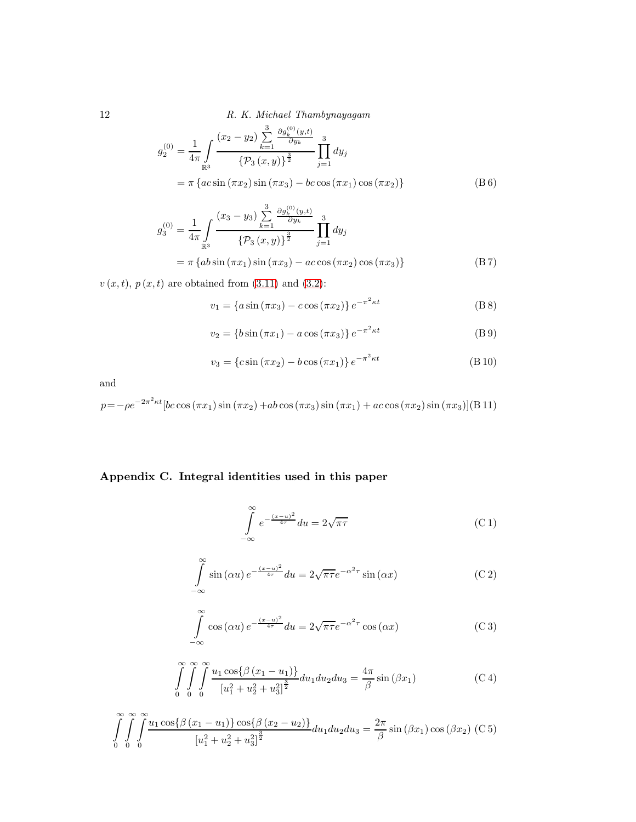12 R. K. Michael Thambynayagam

$$
g_2^{(0)} = \frac{1}{4\pi} \int_{\mathbb{R}^3} \frac{(x_2 - y_2) \sum_{k=1}^3 \frac{\partial g_k^{(0)}(y,t)}{\partial y_k}}{\{P_3(x,y)\}^{\frac{3}{2}}} \prod_{j=1}^3 dy_j
$$
  
=  $\pi \{ac \sin (\pi x_2) \sin (\pi x_3) - bc \cos (\pi x_1) \cos (\pi x_2)\}$  (B 6)

$$
g_3^{(0)} = \frac{1}{4\pi} \int_{\mathbb{R}^3} \frac{(x_3 - y_3) \sum_{k=1}^3 \frac{\partial g_k^{(0)}(y,t)}{\partial y_k}}{\left\{ \mathcal{P}_3(x,y) \right\}^{\frac{3}{2}}} \prod_{j=1}^3 dy_j
$$
  
=  $\pi \left\{ ab \sin(\pi x_1) \sin(\pi x_3) - ac \cos(\pi x_2) \cos(\pi x_3) \right\}$  (B 7)

 $v\left(x,t\right),$   $p\left(x,t\right)$  are obtained from (3.[11\)](#page-3-0) and (3.[2\)](#page-2-1):

$$
v_1 = \{a\sin(\pi x_3) - c\cos(\pi x_2)\}e^{-\pi^2\kappa t}
$$
 (B8)

$$
v_2 = \{b\sin(\pi x_1) - a\cos(\pi x_3)\} e^{-\pi^2 \kappa t}
$$
 (B 9)

$$
v_3 = \{c \sin(\pi x_2) - b \cos(\pi x_1)\} e^{-\pi^2 \kappa t}
$$
 (B 10)

and

$$
p = -\rho e^{-2\pi^2 \kappa t} \left[ bc \cos(\pi x_1) \sin(\pi x_2) + ab \cos(\pi x_3) \sin(\pi x_1) + ac \cos(\pi x_2) \sin(\pi x_3) \right] (B11)
$$

### Appendix C. Integral identities used in this paper

$$
\int_{-\infty}^{\infty} e^{-\frac{(x-u)^2}{4\tau}} du = 2\sqrt{\pi\tau}
$$
 (C1)

$$
\int_{-\infty}^{\infty} \sin(\alpha u) e^{-\frac{(x-u)^2}{4\tau}} du = 2\sqrt{\pi\tau} e^{-\alpha^2\tau} \sin(\alpha x)
$$
 (C2)

$$
\int_{-\infty}^{\infty} \cos(\alpha u) e^{-\frac{(x-u)^2}{4\tau}} du = 2\sqrt{\pi\tau} e^{-\alpha^2\tau} \cos(\alpha x)
$$
 (C 3)

$$
\int_{0}^{\infty} \int_{0}^{\infty} \int_{0}^{\infty} \frac{u_1 \cos\{\beta (x_1 - u_1)\}}{[u_1^2 + u_2^2 + u_3^2]^{\frac{3}{2}}} du_1 du_2 du_3 = \frac{4\pi}{\beta} \sin(\beta x_1)
$$
 (C4)

$$
\int_{0}^{\infty} \int_{0}^{\infty} \int_{0}^{\infty} \frac{u_1 \cos\{\beta (x_1 - u_1)\} \cos\{\beta (x_2 - u_2)\}}{[u_1^2 + u_2^2 + u_3^2]^{\frac{3}{2}}} du_1 du_2 du_3 = \frac{2\pi}{\beta} \sin(\beta x_1) \cos(\beta x_2) \text{ (C 5)}
$$